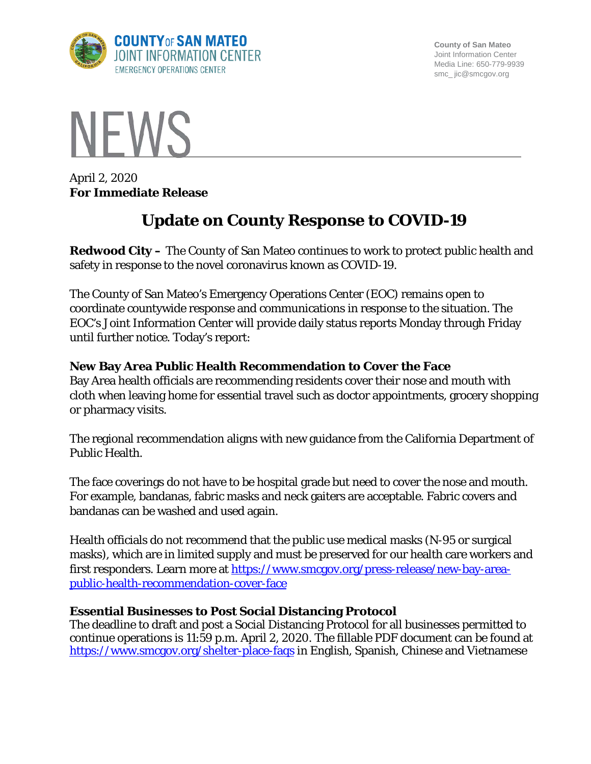

**County of San Mateo** Joint Information Center Media Line: 650-779-9939 smc\_ jic@smcgov.org



April 2, 2020 **For Immediate Release**

# **Update on County Response to COVID-19**

**Redwood City –** The County of San Mateo continues to work to protect public health and safety in response to the novel coronavirus known as COVID-19.

The County of San Mateo's Emergency Operations Center (EOC) remains open to coordinate countywide response and communications in response to the situation. The EOC's Joint Information Center will provide daily status reports Monday through Friday until further notice. Today's report:

# **New Bay Area Public Health Recommendation to Cover the Face**

Bay Area health officials are recommending residents cover their nose and mouth with cloth when leaving home for essential travel such as doctor appointments, grocery shopping or pharmacy visits.

The regional recommendation aligns with new guidance from the California Department of Public Health.

The face coverings do not have to be hospital grade but need to cover the nose and mouth. For example, bandanas, fabric masks and neck gaiters are acceptable. Fabric covers and bandanas can be washed and used again.

Health officials do not recommend that the public use medical masks (N-95 or surgical masks), which are in limited supply and must be preserved for our health care workers and first responders. Learn more at [https://www.smcgov.org/press-release/new-bay-area](https://www.smcgov.org/press-release/new-bay-area-public-health-recommendation-cover-face)[public-health-recommendation-cover-face](https://www.smcgov.org/press-release/new-bay-area-public-health-recommendation-cover-face)

### **Essential Businesses to Post Social Distancing Protocol**

The deadline to draft and post a Social Distancing Protocol for all businesses permitted to continue operations is 11:59 p.m. April 2, 2020. The fillable PDF document can be found at <https://www.smcgov.org/shelter-place-faqs> in English, Spanish, Chinese and Vietnamese